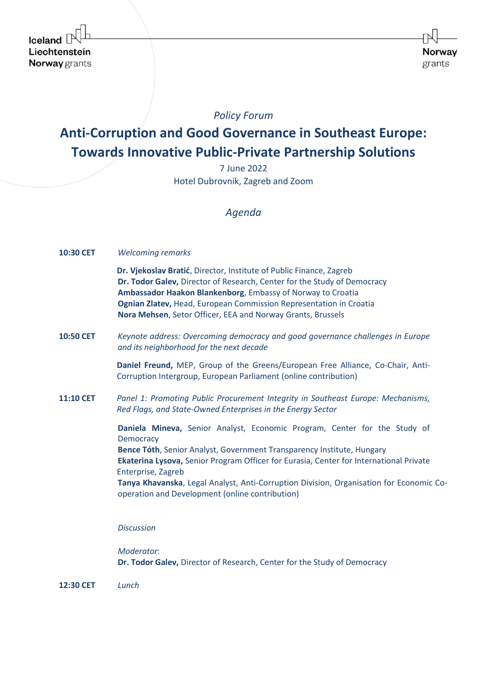# *Policy Forum*

# **Anti-Corruption аnd Good Governance in Southeast Europe: Towards Innovative Public-Private Partnership Solutions**

7 June 2022 Hotel Dubrovnik, Zagreb and Zoom

## *Agenda*

| 10:30 CET        | <b>Welcoming remarks</b>                                                                                                                                                                                                                                                                                                                                                                                                       |
|------------------|--------------------------------------------------------------------------------------------------------------------------------------------------------------------------------------------------------------------------------------------------------------------------------------------------------------------------------------------------------------------------------------------------------------------------------|
|                  | Dr. Vjekoslav Bratić, Director, Institute of Public Finance, Zagreb<br>Dr. Todor Galev, Director of Research, Center for the Study of Democracy<br>Ambassador Haakon Blankenborg, Embassy of Norway to Croatia<br>Ognian Zlatev, Head, European Commission Representation in Croatia<br>Nora Mehsen, Setor Officer, EEA and Norway Grants, Brussels                                                                            |
| <b>10:50 CET</b> | Keynote address: Overcoming democracy and good governance challenges in Europe<br>and its neighborhood for the next decade                                                                                                                                                                                                                                                                                                     |
|                  | Daniel Freund, MEP, Group of the Greens/European Free Alliance, Co-Chair, Anti-<br>Corruption Intergroup, European Parliament (online contribution)                                                                                                                                                                                                                                                                            |
| <b>11:10 CET</b> | Panel 1: Promoting Public Procurement Integrity in Southeast Europe: Mechanisms,<br>Red Flags, and State-Owned Enterprises in the Energy Sector                                                                                                                                                                                                                                                                                |
|                  | Daniela Mineva, Senior Analyst, Economic Program, Center for the Study of<br>Democracy<br>Bence Tóth, Senior Analyst, Government Transparency Institute, Hungary<br>Ekaterina Lysova, Senior Program Officer for Eurasia, Center for International Private<br>Enterprise, Zagreb<br>Tanya Khavanska, Legal Analyst, Anti-Corruption Division, Organisation for Economic Co-<br>operation and Development (online contribution) |
|                  | <b>Discussion</b>                                                                                                                                                                                                                                                                                                                                                                                                              |
|                  | Moderator:                                                                                                                                                                                                                                                                                                                                                                                                                     |

**Dr. Todor Galev,** Director of Research, Center for the Study of Democracy

**12:30 CET** *Lunch*